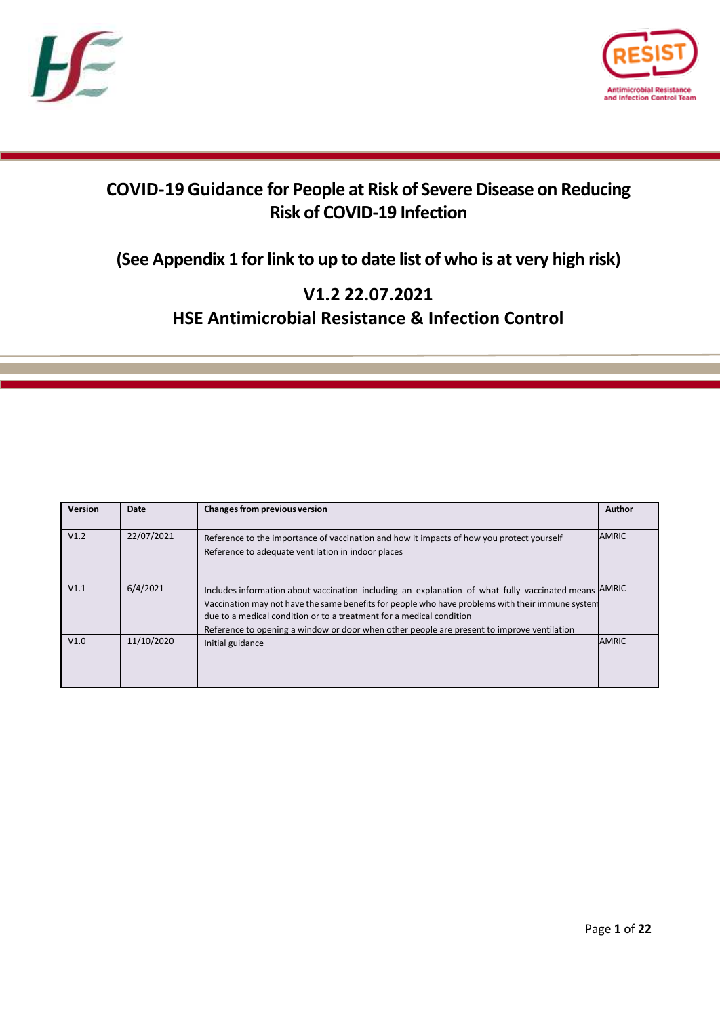



# **COVID-19 Guidance for People at Risk of Severe Disease on Reducing Risk of COVID-19 Infection**

## **(See Appendix 1 for link to up to date list of who is at very high risk)**

## **V1.2 22.07.2021 HSE Antimicrobial Resistance & Infection Control**

| Version | Date       | Changes from previous version                                                                                                                                                                                                                                                                                                                                            | Author       |
|---------|------------|--------------------------------------------------------------------------------------------------------------------------------------------------------------------------------------------------------------------------------------------------------------------------------------------------------------------------------------------------------------------------|--------------|
| V1.2    | 22/07/2021 | Reference to the importance of vaccination and how it impacts of how you protect yourself<br>Reference to adequate ventilation in indoor places                                                                                                                                                                                                                          | <b>AMRIC</b> |
| V1.1    | 6/4/2021   | Includes information about vaccination including an explanation of what fully vaccinated means<br>Vaccination may not have the same benefits for people who have problems with their immune system<br>due to a medical condition or to a treatment for a medical condition<br>Reference to opening a window or door when other people are present to improve ventilation | <b>AMRIC</b> |
| V1.0    | 11/10/2020 | Initial guidance                                                                                                                                                                                                                                                                                                                                                         | <b>AMRIC</b> |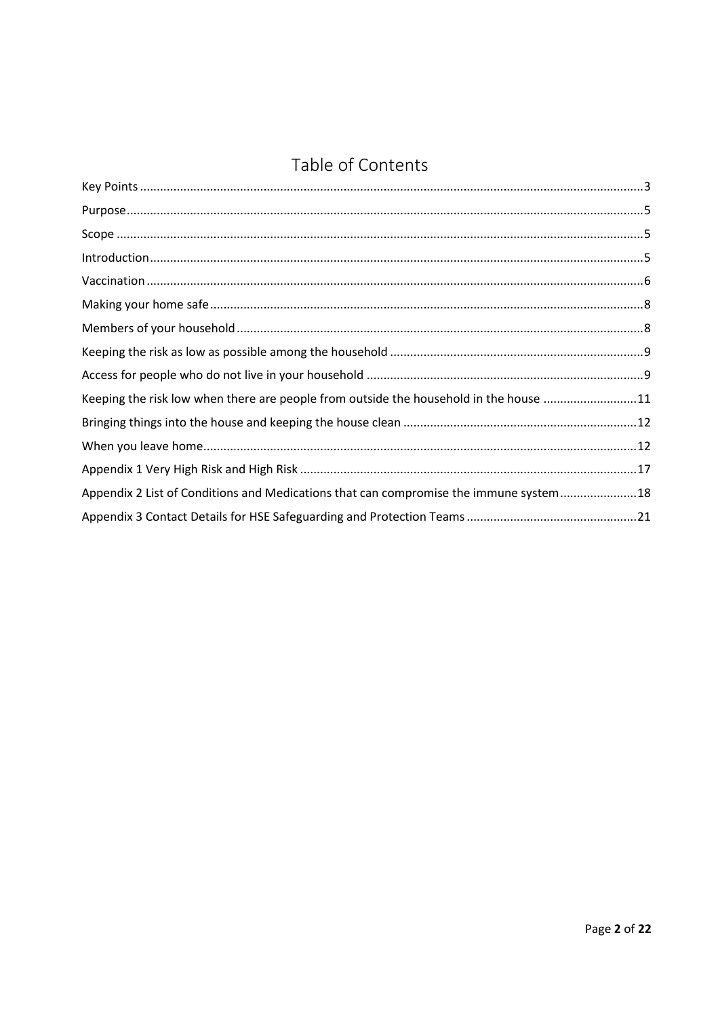# Table of Contents

| Keeping the risk low when there are people from outside the household in the house 11  |  |
|----------------------------------------------------------------------------------------|--|
|                                                                                        |  |
|                                                                                        |  |
|                                                                                        |  |
| Appendix 2 List of Conditions and Medications that can compromise the immune system 18 |  |
|                                                                                        |  |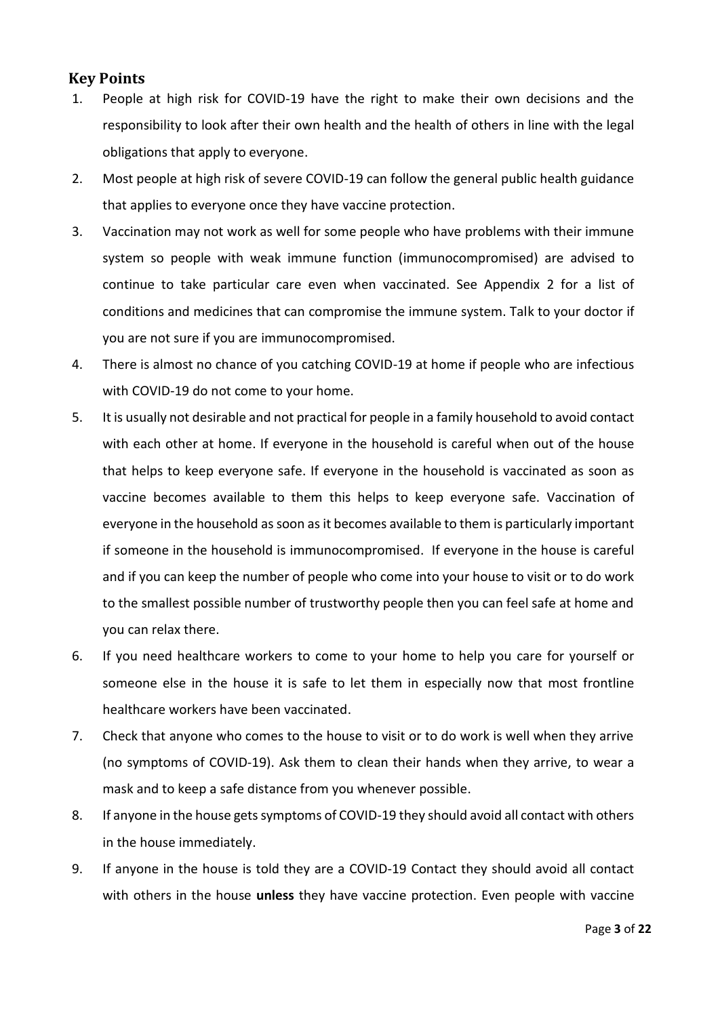#### <span id="page-2-0"></span>**Key Points**

- 1. People at high risk for COVID-19 have the right to make their own decisions and the responsibility to look after their own health and the health of others in line with the legal obligations that apply to everyone.
- 2. Most people at high risk of severe COVID-19 can follow the general public health guidance that applies to everyone once they have vaccine protection.
- 3. Vaccination may not work as well for some people who have problems with their immune system so people with weak immune function (immunocompromised) are advised to continue to take particular care even when vaccinated. See Appendix 2 for a list of conditions and medicines that can compromise the immune system. Talk to your doctor if you are not sure if you are immunocompromised.
- 4. There is almost no chance of you catching COVID-19 at home if people who are infectious with COVID-19 do not come to your home.
- 5. It is usually not desirable and not practical for people in a family household to avoid contact with each other at home. If everyone in the household is careful when out of the house that helps to keep everyone safe. If everyone in the household is vaccinated as soon as vaccine becomes available to them this helps to keep everyone safe. Vaccination of everyone in the household as soon as it becomes available to them is particularly important if someone in the household is immunocompromised. If everyone in the house is careful and if you can keep the number of people who come into your house to visit or to do work to the smallest possible number of trustworthy people then you can feel safe at home and you can relax there.
- 6. If you need healthcare workers to come to your home to help you care for yourself or someone else in the house it is safe to let them in especially now that most frontline healthcare workers have been vaccinated.
- 7. Check that anyone who comes to the house to visit or to do work is well when they arrive (no symptoms of COVID-19). Ask them to clean their hands when they arrive, to wear a mask and to keep a safe distance from you whenever possible.
- 8. If anyone in the house gets symptoms of COVID-19 they should avoid all contact with others in the house immediately.
- 9. If anyone in the house is told they are a COVID-19 Contact they should avoid all contact with others in the house **unless** they have vaccine protection. Even people with vaccine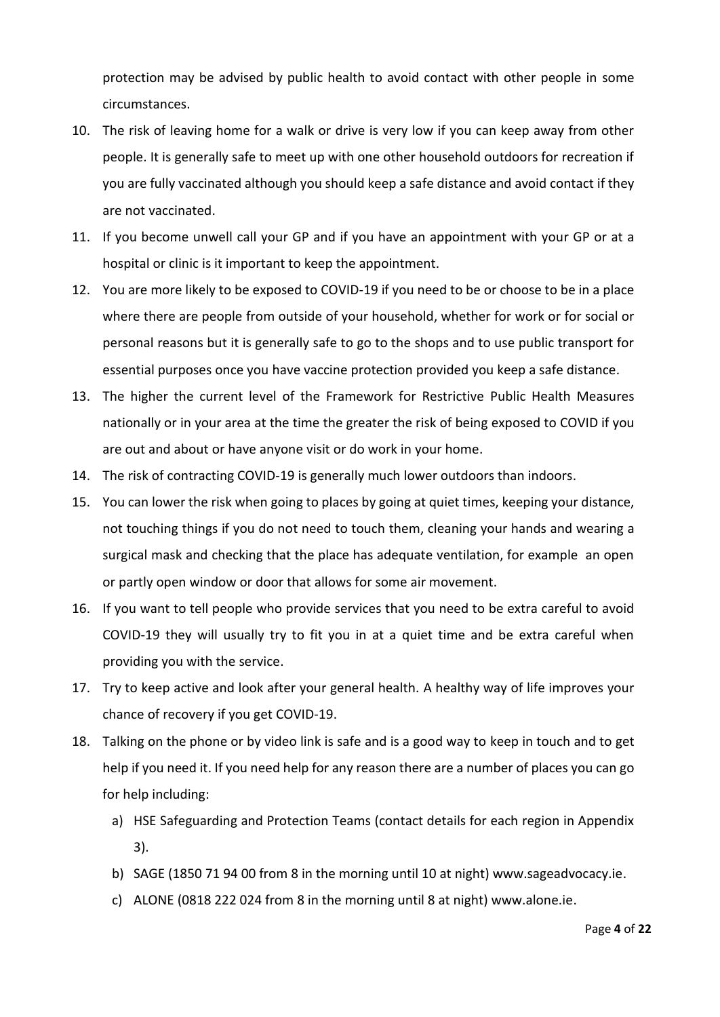protection may be advised by public health to avoid contact with other people in some circumstances.

- 10. The risk of leaving home for a walk or drive is very low if you can keep away from other people. It is generally safe to meet up with one other household outdoors for recreation if you are fully vaccinated although you should keep a safe distance and avoid contact if they are not vaccinated.
- 11. If you become unwell call your GP and if you have an appointment with your GP or at a hospital or clinic is it important to keep the appointment.
- 12. You are more likely to be exposed to COVID-19 if you need to be or choose to be in a place where there are people from outside of your household, whether for work or for social or personal reasons but it is generally safe to go to the shops and to use public transport for essential purposes once you have vaccine protection provided you keep a safe distance.
- 13. The higher the current level of the Framework for Restrictive Public Health Measures nationally or in your area at the time the greater the risk of being exposed to COVID if you are out and about or have anyone visit or do work in your home.
- 14. The risk of contracting COVID-19 is generally much lower outdoors than indoors.
- 15. You can lower the risk when going to places by going at quiet times, keeping your distance, not touching things if you do not need to touch them, cleaning your hands and wearing a surgical mask and checking that the place has adequate ventilation, for example an open or partly open window or door that allows for some air movement.
- 16. If you want to tell people who provide services that you need to be extra careful to avoid COVID-19 they will usually try to fit you in at a quiet time and be extra careful when providing you with the service.
- 17. Try to keep active and look after your general health. A healthy way of life improves your chance of recovery if you get COVID-19.
- 18. Talking on the phone or by video link is safe and is a good way to keep in touch and to get help if you need it. If you need help for any reason there are a number of places you can go for help including:
	- a) HSE Safeguarding and Protection Teams (contact details for each region in Appendix 3).
	- b) SAGE (1850 71 94 00 from 8 in the morning until 10 at night) www.sageadvocacy.ie.
	- c) ALONE (0818 222 024 from 8 in the morning until 8 at night) www.alone.ie.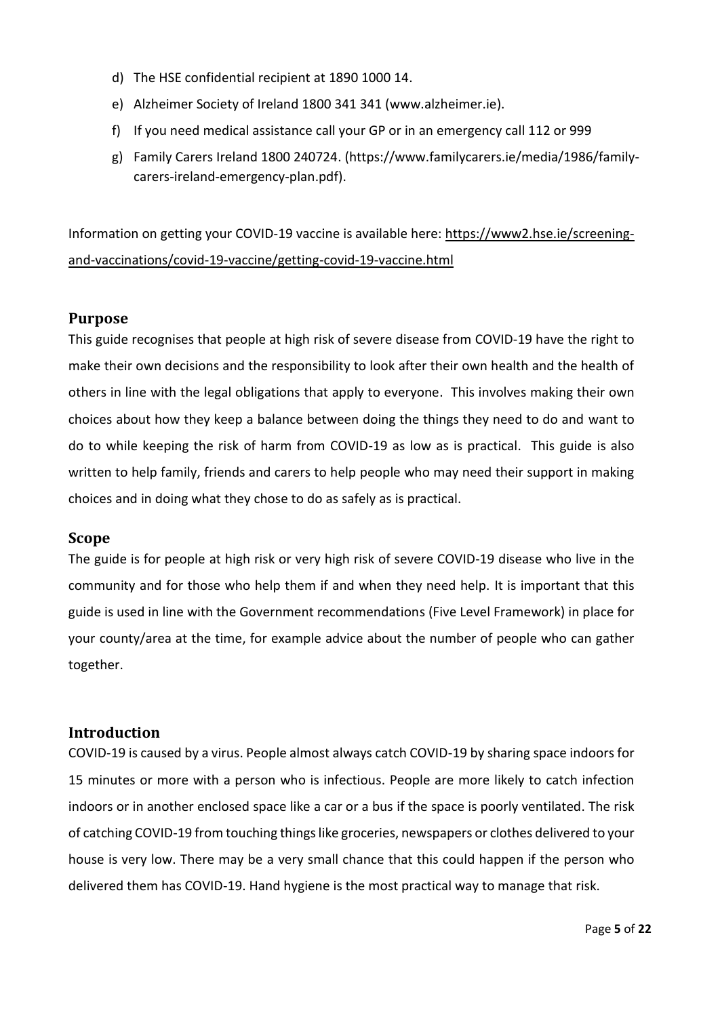- d) The HSE confidential recipient at 1890 1000 14.
- e) Alzheimer Society of Ireland 1800 341 341 [\(www.alzheimer.ie\)](http://www.alzheimer.ie/).
- f) If you need medical assistance call your GP or in an emergency call 112 or 999
- g) Family Carers Ireland 1800 240724. [\(https://www.familycarers.ie/media/1986/family](https://www.familycarers.ie/media/1986/family-carers-ireland-emergency-plan.pdf)[carers-ireland-emergency-plan.pdf\)](https://www.familycarers.ie/media/1986/family-carers-ireland-emergency-plan.pdf).

Information on getting your COVID-19 vaccine is available here: [https://www2.hse.ie/screening](https://www2.hse.ie/screening-and-vaccinations/covid-19-vaccine/getting-covid-19-vaccine.html)[and-vaccinations/covid-19-vaccine/getting-covid-19-vaccine.html](https://www2.hse.ie/screening-and-vaccinations/covid-19-vaccine/getting-covid-19-vaccine.html)

#### <span id="page-4-0"></span>**Purpose**

This guide recognises that people at high risk of severe disease from COVID-19 have the right to make their own decisions and the responsibility to look after their own health and the health of others in line with the legal obligations that apply to everyone. This involves making their own choices about how they keep a balance between doing the things they need to do and want to do to while keeping the risk of harm from COVID-19 as low as is practical. This guide is also written to help family, friends and carers to help people who may need their support in making choices and in doing what they chose to do as safely as is practical.

#### <span id="page-4-1"></span>**Scope**

The guide is for people at high risk or very high risk of severe COVID-19 disease who live in the community and for those who help them if and when they need help. It is important that this guide is used in line with the Government recommendations (Five Level Framework) in place for your county/area at the time, for example advice about the number of people who can gather together.

#### <span id="page-4-2"></span>**Introduction**

COVID-19 is caused by a virus. People almost always catch COVID-19 by sharing space indoors for 15 minutes or more with a person who is infectious. People are more likely to catch infection indoors or in another enclosed space like a car or a bus if the space is poorly ventilated. The risk of catching COVID-19 from touching things like groceries, newspapers or clothes delivered to your house is very low. There may be a very small chance that this could happen if the person who delivered them has COVID-19. Hand hygiene is the most practical way to manage that risk.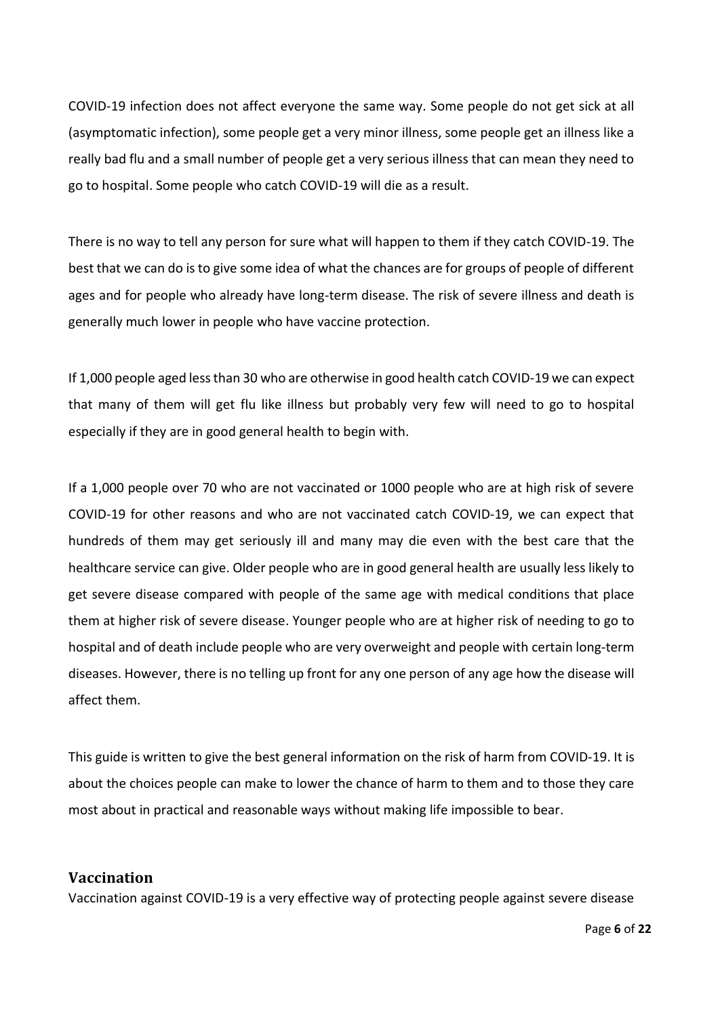COVID-19 infection does not affect everyone the same way. Some people do not get sick at all (asymptomatic infection), some people get a very minor illness, some people get an illness like a really bad flu and a small number of people get a very serious illness that can mean they need to go to hospital. Some people who catch COVID-19 will die as a result.

There is no way to tell any person for sure what will happen to them if they catch COVID-19. The best that we can do is to give some idea of what the chances are for groups of people of different ages and for people who already have long-term disease. The risk of severe illness and death is generally much lower in people who have vaccine protection.

If 1,000 people aged less than 30 who are otherwise in good health catch COVID-19 we can expect that many of them will get flu like illness but probably very few will need to go to hospital especially if they are in good general health to begin with.

If a 1,000 people over 70 who are not vaccinated or 1000 people who are at high risk of severe COVID-19 for other reasons and who are not vaccinated catch COVID-19, we can expect that hundreds of them may get seriously ill and many may die even with the best care that the healthcare service can give. Older people who are in good general health are usually less likely to get severe disease compared with people of the same age with medical conditions that place them at higher risk of severe disease. Younger people who are at higher risk of needing to go to hospital and of death include people who are very overweight and people with certain long-term diseases. However, there is no telling up front for any one person of any age how the disease will affect them.

This guide is written to give the best general information on the risk of harm from COVID-19. It is about the choices people can make to lower the chance of harm to them and to those they care most about in practical and reasonable ways without making life impossible to bear.

#### <span id="page-5-0"></span>**Vaccination**

Vaccination against COVID-19 is a very effective way of protecting people against severe disease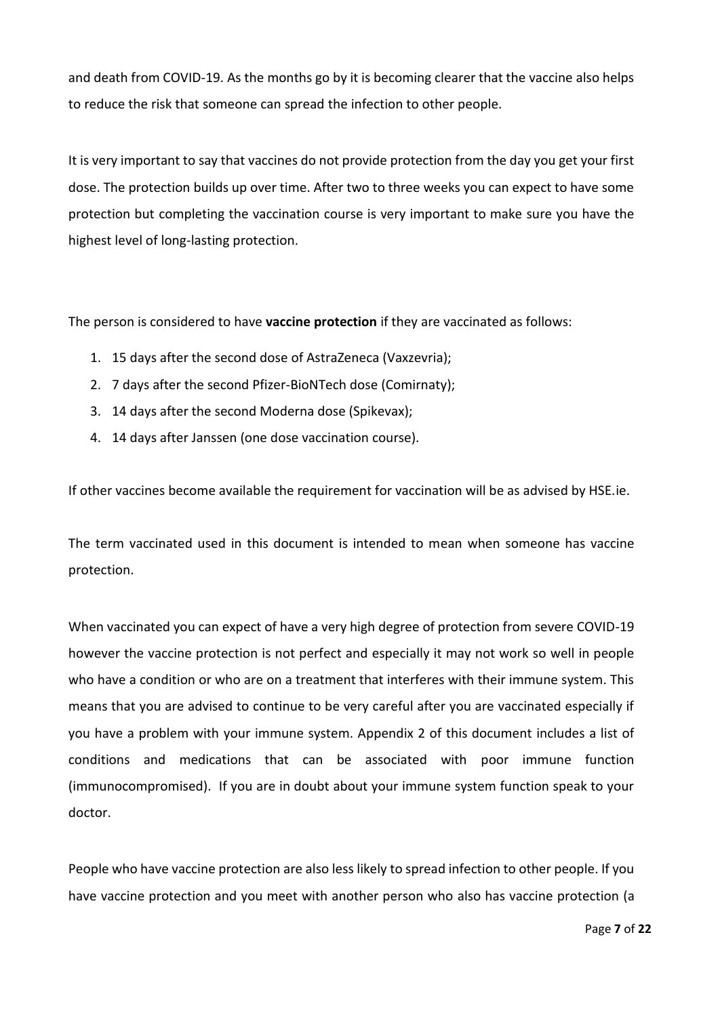and death from COVID-19. As the months go by it is becoming clearer that the vaccine also helps to reduce the risk that someone can spread the infection to other people.

It is very important to say that vaccines do not provide protection from the day you get your first dose. The protection builds up over time. After two to three weeks you can expect to have some protection but completing the vaccination course is very important to make sure you have the highest level of long-lasting protection.

The person is considered to have **vaccine protection** if they are vaccinated as follows:

- 1. 15 days after the second dose of AstraZeneca (Vaxzevria);
- 2. 7 days after the second Pfizer-BioNTech dose (Comirnaty);
- 3. 14 days after the second Moderna dose (Spikevax);
- 4. 14 days after Janssen (one dose vaccination course).

If other vaccines become available the requirement for vaccination will be as advised by HSE.ie.

The term vaccinated used in this document is intended to mean when someone has vaccine protection.

When vaccinated you can expect of have a very high degree of protection from severe COVID-19 however the vaccine protection is not perfect and especially it may not work so well in people who have a condition or who are on a treatment that interferes with their immune system. This means that you are advised to continue to be very careful after you are vaccinated especially if you have a problem with your immune system. Appendix 2 of this document includes a list of conditions and medications that can be associated with poor immune function (immunocompromised). If you are in doubt about your immune system function speak to your doctor.

People who have vaccine protection are also less likely to spread infection to other people. If you have vaccine protection and you meet with another person who also has vaccine protection (a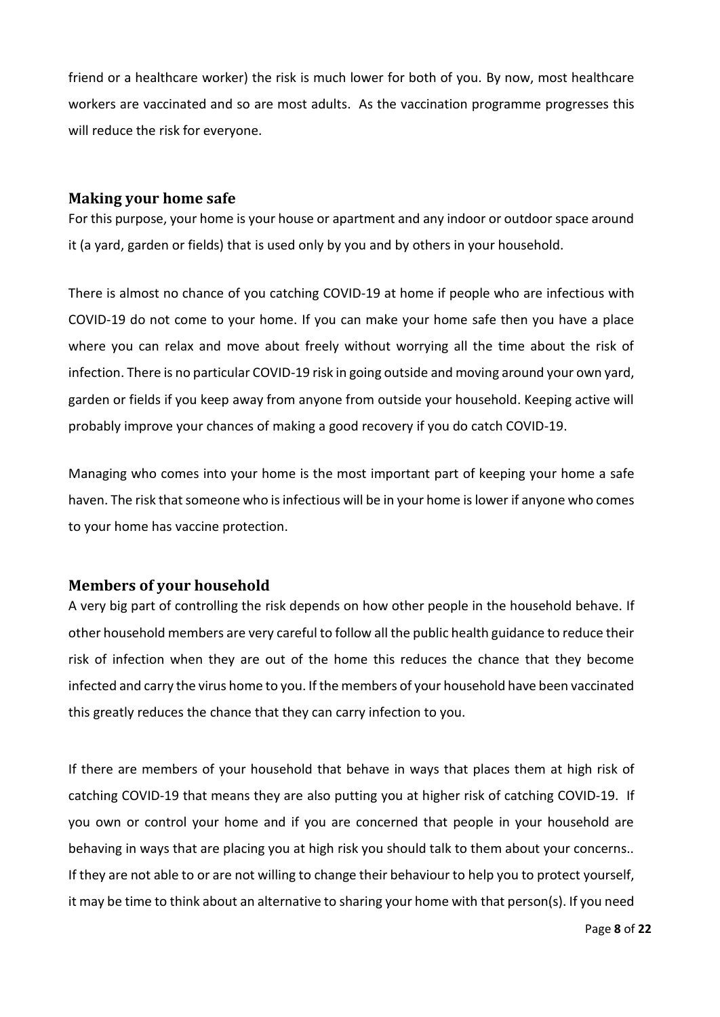friend or a healthcare worker) the risk is much lower for both of you. By now, most healthcare workers are vaccinated and so are most adults. As the vaccination programme progresses this will reduce the risk for everyone.

#### <span id="page-7-0"></span>**Making your home safe**

For this purpose, your home is your house or apartment and any indoor or outdoor space around it (a yard, garden or fields) that is used only by you and by others in your household.

There is almost no chance of you catching COVID-19 at home if people who are infectious with COVID-19 do not come to your home. If you can make your home safe then you have a place where you can relax and move about freely without worrying all the time about the risk of infection. There is no particular COVID-19 risk in going outside and moving around your own yard, garden or fields if you keep away from anyone from outside your household. Keeping active will probably improve your chances of making a good recovery if you do catch COVID-19.

Managing who comes into your home is the most important part of keeping your home a safe haven. The risk that someone who is infectious will be in your home is lower if anyone who comes to your home has vaccine protection.

### <span id="page-7-1"></span>**Members of your household**

A very big part of controlling the risk depends on how other people in the household behave. If other household members are very careful to follow all the public health guidance to reduce their risk of infection when they are out of the home this reduces the chance that they become infected and carry the virus home to you. If the members of your household have been vaccinated this greatly reduces the chance that they can carry infection to you.

If there are members of your household that behave in ways that places them at high risk of catching COVID-19 that means they are also putting you at higher risk of catching COVID-19. If you own or control your home and if you are concerned that people in your household are behaving in ways that are placing you at high risk you should talk to them about your concerns.. If they are not able to or are not willing to change their behaviour to help you to protect yourself, it may be time to think about an alternative to sharing your home with that person(s). If you need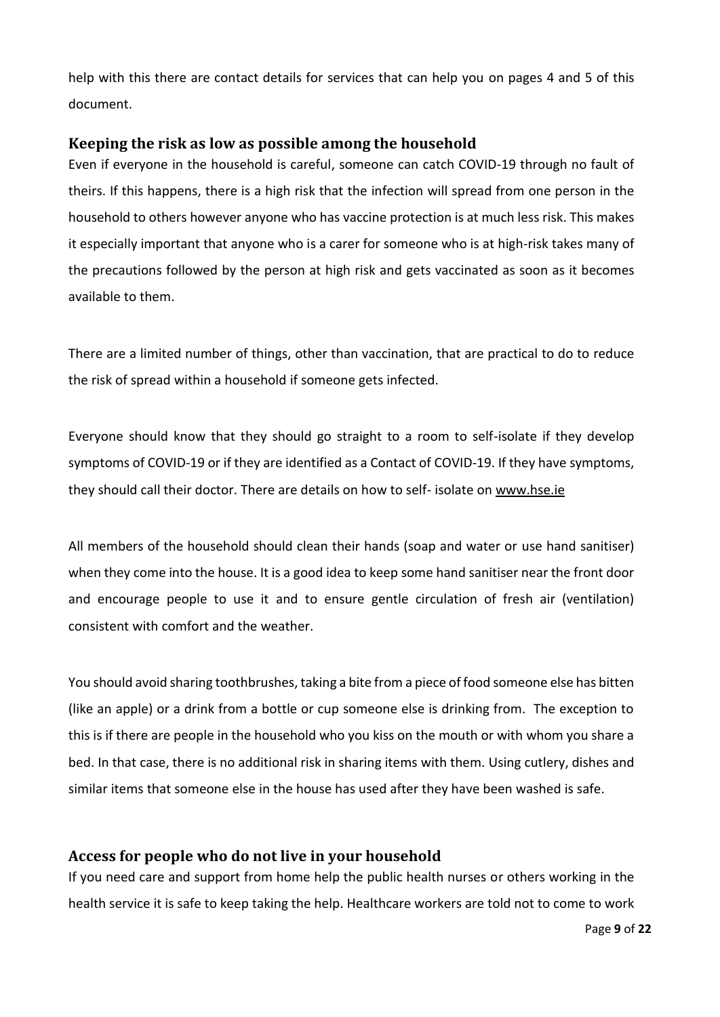help with this there are contact details for services that can help you on pages 4 and 5 of this document.

#### <span id="page-8-0"></span>**Keeping the risk as low as possible among the household**

Even if everyone in the household is careful, someone can catch COVID-19 through no fault of theirs. If this happens, there is a high risk that the infection will spread from one person in the household to others however anyone who has vaccine protection is at much less risk. This makes it especially important that anyone who is a carer for someone who is at high-risk takes many of the precautions followed by the person at high risk and gets vaccinated as soon as it becomes available to them.

There are a limited number of things, other than vaccination, that are practical to do to reduce the risk of spread within a household if someone gets infected.

Everyone should know that they should go straight to a room to self-isolate if they develop symptoms of COVID-19 or if they are identified as a Contact of COVID-19. If they have symptoms, they should call their doctor. There are details on how to self- isolate on [www.hse.ie](http://www.hse.ie/)

All members of the household should clean their hands (soap and water or use hand sanitiser) when they come into the house. It is a good idea to keep some hand sanitiser near the front door and encourage people to use it and to ensure gentle circulation of fresh air (ventilation) consistent with comfort and the weather.

You should avoid sharing toothbrushes, taking a bite from a piece of food someone else has bitten (like an apple) or a drink from a bottle or cup someone else is drinking from. The exception to this is if there are people in the household who you kiss on the mouth or with whom you share a bed. In that case, there is no additional risk in sharing items with them. Using cutlery, dishes and similar items that someone else in the house has used after they have been washed is safe.

#### <span id="page-8-1"></span>**Access for people who do not live in your household**

If you need care and support from home help the public health nurses or others working in the health service it is safe to keep taking the help. Healthcare workers are told not to come to work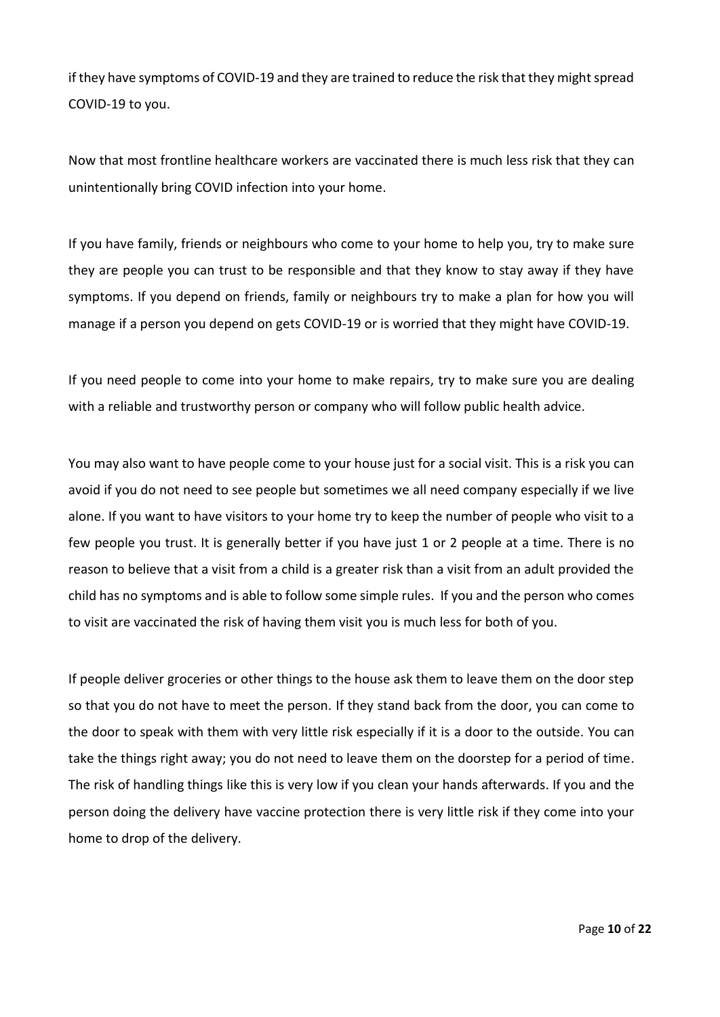if they have symptoms of COVID-19 and they are trained to reduce the risk that they might spread COVID-19 to you.

Now that most frontline healthcare workers are vaccinated there is much less risk that they can unintentionally bring COVID infection into your home.

If you have family, friends or neighbours who come to your home to help you, try to make sure they are people you can trust to be responsible and that they know to stay away if they have symptoms. If you depend on friends, family or neighbours try to make a plan for how you will manage if a person you depend on gets COVID-19 or is worried that they might have COVID-19.

If you need people to come into your home to make repairs, try to make sure you are dealing with a reliable and trustworthy person or company who will follow public health advice.

You may also want to have people come to your house just for a social visit. This is a risk you can avoid if you do not need to see people but sometimes we all need company especially if we live alone. If you want to have visitors to your home try to keep the number of people who visit to a few people you trust. It is generally better if you have just 1 or 2 people at a time. There is no reason to believe that a visit from a child is a greater risk than a visit from an adult provided the child has no symptoms and is able to follow some simple rules. If you and the person who comes to visit are vaccinated the risk of having them visit you is much less for both of you.

If people deliver groceries or other things to the house ask them to leave them on the door step so that you do not have to meet the person. If they stand back from the door, you can come to the door to speak with them with very little risk especially if it is a door to the outside. You can take the things right away; you do not need to leave them on the doorstep for a period of time. The risk of handling things like this is very low if you clean your hands afterwards. If you and the person doing the delivery have vaccine protection there is very little risk if they come into your home to drop of the delivery.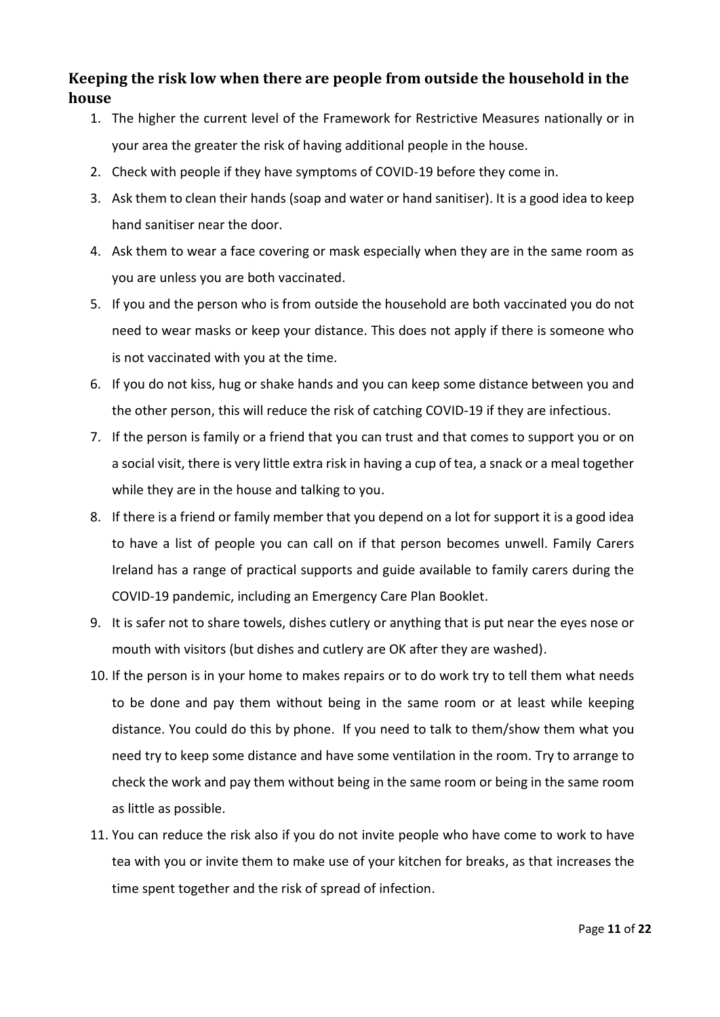## <span id="page-10-0"></span>**Keeping the risk low when there are people from outside the household in the house**

- 1. The higher the current level of the Framework for Restrictive Measures nationally or in your area the greater the risk of having additional people in the house.
- 2. Check with people if they have symptoms of COVID-19 before they come in.
- 3. Ask them to clean their hands (soap and water or hand sanitiser). It is a good idea to keep hand sanitiser near the door.
- 4. Ask them to wear a face covering or mask especially when they are in the same room as you are unless you are both vaccinated.
- 5. If you and the person who is from outside the household are both vaccinated you do not need to wear masks or keep your distance. This does not apply if there is someone who is not vaccinated with you at the time.
- 6. If you do not kiss, hug or shake hands and you can keep some distance between you and the other person, this will reduce the risk of catching COVID-19 if they are infectious.
- 7. If the person is family or a friend that you can trust and that comes to support you or on a social visit, there is very little extra risk in having a cup of tea, a snack or a meal together while they are in the house and talking to you.
- 8. If there is a friend or family member that you depend on a lot for support it is a good idea to have a list of people you can call on if that person becomes unwell. Family Carers Ireland has a range of practical supports and guide available to family carers during the COVID-19 pandemic, including an [Emergency Care Plan Booklet.](https://familycarers.ie/wpcontent/uploads/2020/03/EMERGENCY-CARE-PLAN_Family-Carers-Ireland-REVISED.pdf)
- 9. It is safer not to share towels, dishes cutlery or anything that is put near the eyes nose or mouth with visitors (but dishes and cutlery are OK after they are washed).
- 10. If the person is in your home to makes repairs or to do work try to tell them what needs to be done and pay them without being in the same room or at least while keeping distance. You could do this by phone. If you need to talk to them/show them what you need try to keep some distance and have some ventilation in the room. Try to arrange to check the work and pay them without being in the same room or being in the same room as little as possible.
- 11. You can reduce the risk also if you do not invite people who have come to work to have tea with you or invite them to make use of your kitchen for breaks, as that increases the time spent together and the risk of spread of infection.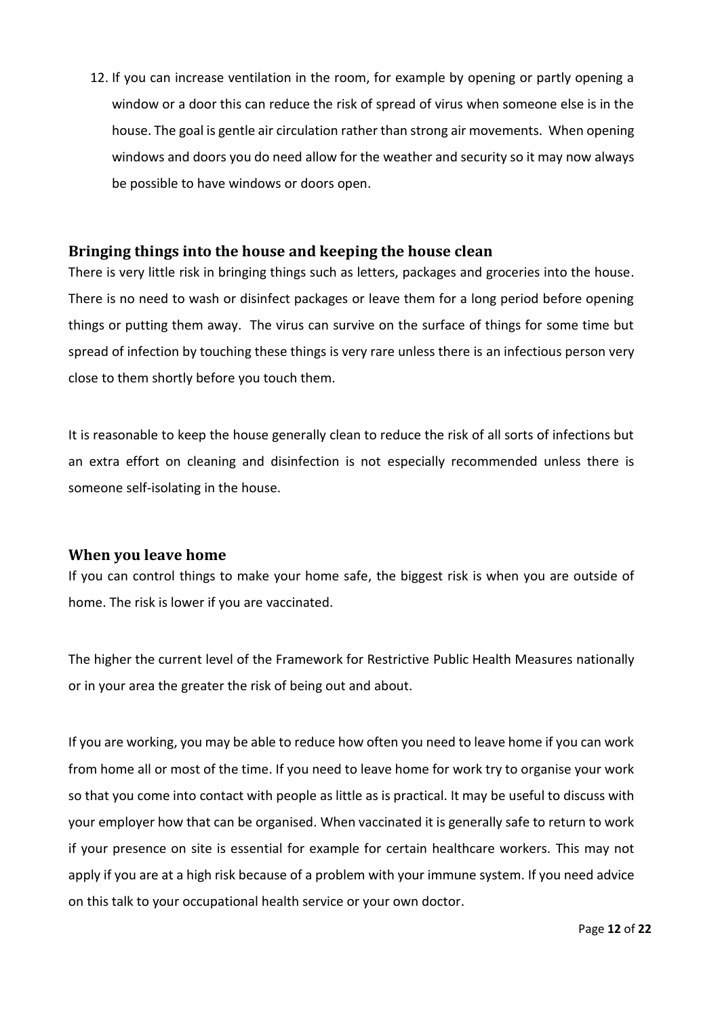12. If you can increase ventilation in the room, for example by opening or partly opening a window or a door this can reduce the risk of spread of virus when someone else is in the house. The goal is gentle air circulation rather than strong air movements. When opening windows and doors you do need allow for the weather and security so it may now always be possible to have windows or doors open.

#### <span id="page-11-0"></span>**Bringing things into the house and keeping the house clean**

There is very little risk in bringing things such as letters, packages and groceries into the house. There is no need to wash or disinfect packages or leave them for a long period before opening things or putting them away. The virus can survive on the surface of things for some time but spread of infection by touching these things is very rare unless there is an infectious person very close to them shortly before you touch them.

It is reasonable to keep the house generally clean to reduce the risk of all sorts of infections but an extra effort on cleaning and disinfection is not especially recommended unless there is someone [self-isolating](https://www2.hse.ie/conditions/coronavirus/managing-coronavirus-at-home/self-isolation.html) in the house.

#### <span id="page-11-1"></span>**When you leave home**

If you can control things to make your home safe, the biggest risk is when you are outside of home. The risk is lower if you are vaccinated.

The higher the current level of the Framework for Restrictive Public Health Measures nationally or in your area the greater the risk of being out and about.

If you are working, you may be able to reduce how often you need to leave home if you can work from home all or most of the time. If you need to leave home for work try to organise your work so that you come into contact with people as little as is practical. It may be useful to discuss with your employer how that can be organised. When vaccinated it is generally safe to return to work if your presence on site is essential for example for certain healthcare workers. This may not apply if you are at a high risk because of a problem with your immune system. If you need advice on this talk to your occupational health service or your own doctor.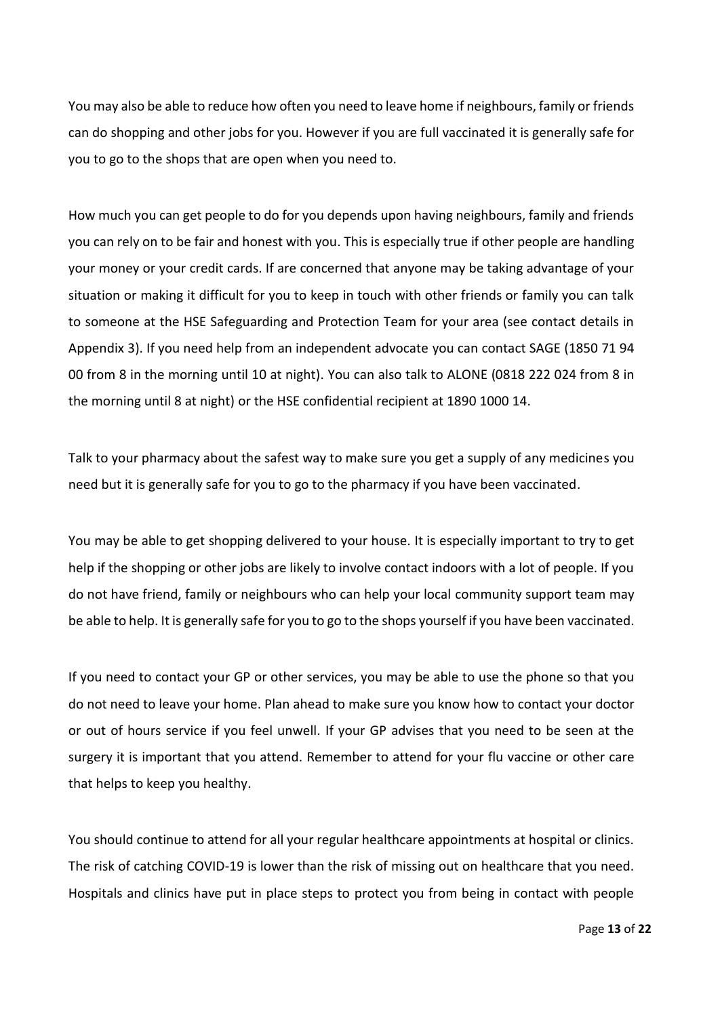You may also be able to reduce how often you need to leave home if neighbours, family or friends can do shopping and other jobs for you. However if you are full vaccinated it is generally safe for you to go to the shops that are open when you need to.

How much you can get people to do for you depends upon having neighbours, family and friends you can rely on to be fair and honest with you. This is especially true if other people are handling your money or your credit cards. If are concerned that anyone may be taking advantage of your situation or making it difficult for you to keep in touch with other friends or family you can talk to someone at the HSE Safeguarding and Protection Team for your area (see contact details in Appendix 3). If you need help from an independent advocate you can contact SAGE (1850 71 94 00 from 8 in the morning until 10 at night). You can also talk to ALONE (0818 222 024 from 8 in the morning until 8 at night) or the HSE confidential recipient at 1890 1000 14.

Talk to your pharmacy about the safest way to make sure you get a supply of any medicines you need but it is generally safe for you to go to the pharmacy if you have been vaccinated.

You may be able to get shopping delivered to your house. It is especially important to try to get help if the shopping or other jobs are likely to involve contact indoors with a lot of people. If you do not have friend, family or neighbours who can help your local [community support team](https://www2.hse.ie/services/community-support-coronavirus/community-support-coronavirus.html) may be able to help. It is generally safe for you to go to the shops yourself if you have been vaccinated.

If you need to contact your GP or other services, you may be able to use the phone so that you do not need to leave your home. Plan ahead to make sure you know how to contact your doctor or out of hours service if you feel unwell. If your GP advises that you need to be seen at the surgery it is important that you attend. Remember to attend for your flu vaccine or other care that helps to keep you healthy.

You should continue to attend for all your regular healthcare appointments at hospital or clinics. The risk of catching COVID-19 is lower than the risk of missing out on healthcare that you need. Hospitals and clinics have put in place steps to protect you from being in contact with people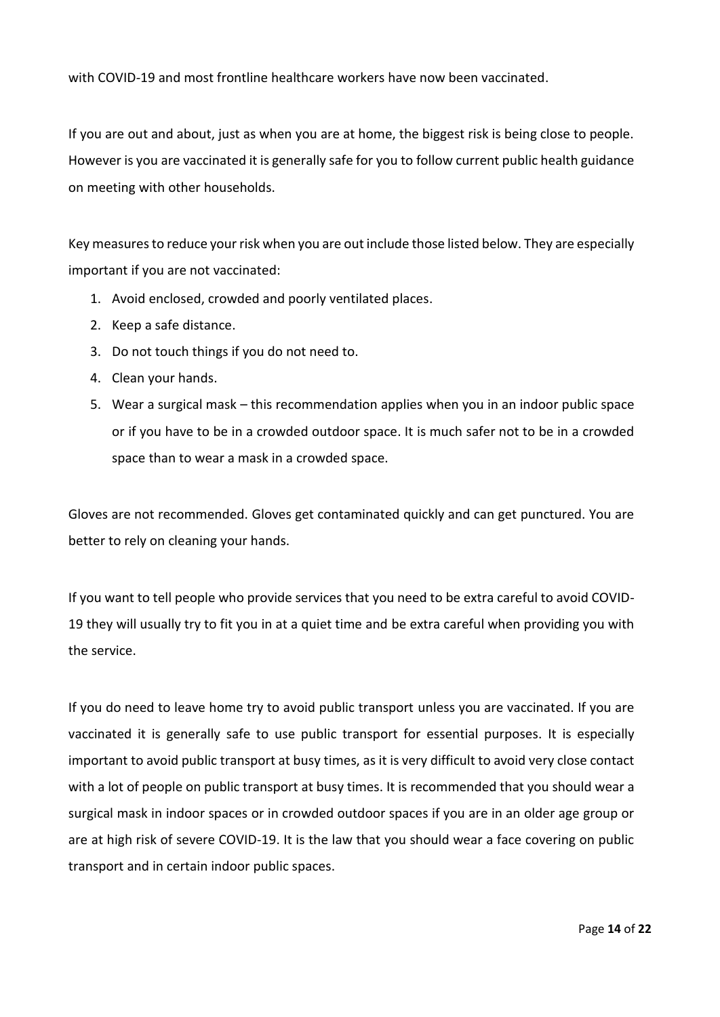with COVID-19 and most frontline healthcare workers have now been vaccinated.

If you are out and about, just as when you are at home, the biggest risk is being close to people. However is you are vaccinated it is generally safe for you to follow current public health guidance on meeting with other households.

Key measures to reduce your risk when you are out include those listed below. They are especially important if you are not vaccinated:

- 1. Avoid enclosed, crowded and poorly ventilated places.
- 2. Keep a safe distance.
- 3. Do not touch things if you do not need to.
- 4. Clean your hands.
- 5. Wear a surgical mask this recommendation applies when you in an indoor public space or if you have to be in a crowded outdoor space. It is much safer not to be in a crowded space than to wear a mask in a crowded space.

Gloves are not recommended. Gloves get contaminated quickly and can get punctured. You are better to rely on cleaning your hands.

If you want to tell people who provide services that you need to be extra careful to avoid COVID-19 they will usually try to fit you in at a quiet time and be extra careful when providing you with the service.

If you do need to leave home try to avoid public transport unless you are vaccinated. If you are vaccinated it is generally safe to use public transport for essential purposes. It is especially important to avoid public transport at busy times, as it is very difficult to avoid very close contact with a lot of people on public transport at busy times. It is recommended that you should wear a surgical mask in indoor spaces or in crowded outdoor spaces if you are in an older age group or are at high risk of severe COVID-19. It is the law that you should wear a face covering on public transport and in certain indoor public spaces.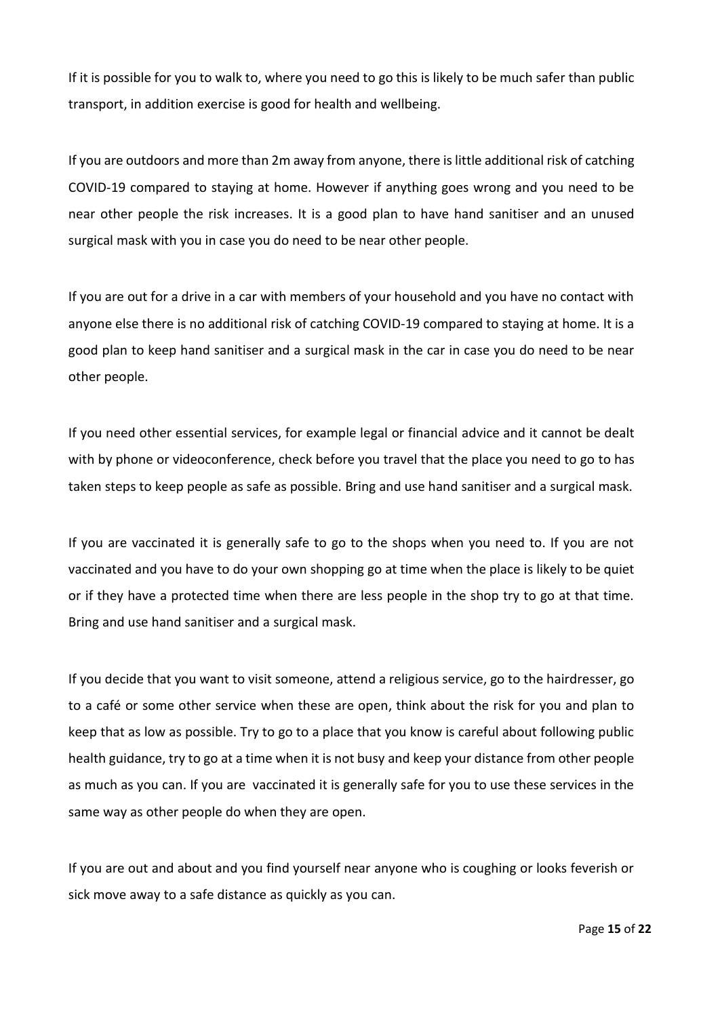If it is possible for you to walk to, where you need to go this is likely to be much safer than public transport, in addition exercise is good for health and wellbeing.

If you are outdoors and more than 2m away from anyone, there is little additional risk of catching COVID-19 compared to staying at home. However if anything goes wrong and you need to be near other people the risk increases. It is a good plan to have hand sanitiser and an unused surgical mask with you in case you do need to be near other people.

If you are out for a drive in a car with members of your household and you have no contact with anyone else there is no additional risk of catching COVID-19 compared to staying at home. It is a good plan to keep hand sanitiser and a surgical mask in the car in case you do need to be near other people.

If you need other essential services, for example legal or financial advice and it cannot be dealt with by phone or videoconference, check before you travel that the place you need to go to has taken steps to keep people as safe as possible. Bring and use hand sanitiser and a surgical mask.

If you are vaccinated it is generally safe to go to the shops when you need to. If you are not vaccinated and you have to do your own shopping go at time when the place is likely to be quiet or if they have a protected time when there are less people in the shop try to go at that time. Bring and use hand sanitiser and a surgical mask.

If you decide that you want to visit someone, attend a religious service, go to the hairdresser, go to a café or some other service when these are open, think about the risk for you and plan to keep that as low as possible. Try to go to a place that you know is careful about following public health guidance, try to go at a time when it is not busy and keep your distance from other people as much as you can. If you are vaccinated it is generally safe for you to use these services in the same way as other people do when they are open.

If you are out and about and you find yourself near anyone who is coughing or looks feverish or sick move away to a safe distance as quickly as you can.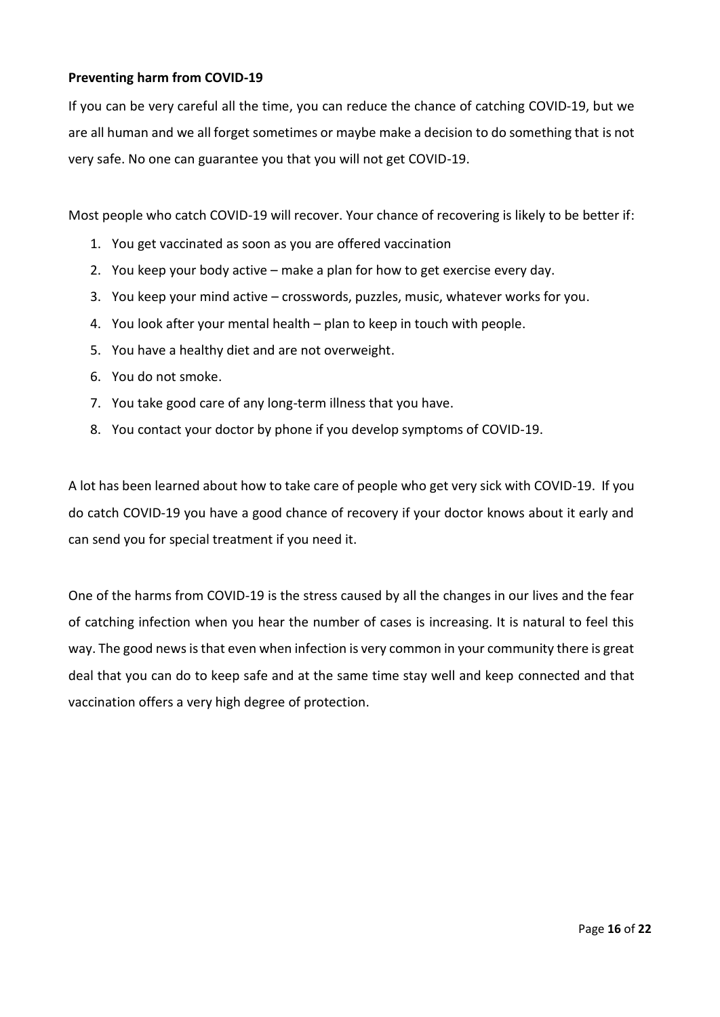#### **Preventing harm from COVID-19**

If you can be very careful all the time, you can reduce the chance of catching COVID-19, but we are all human and we all forget sometimes or maybe make a decision to do something that is not very safe. No one can guarantee you that you will not get COVID-19.

Most people who catch COVID-19 will recover. Your chance of recovering is likely to be better if:

- 1. You get vaccinated as soon as you are offered vaccination
- 2. You keep your body active make a plan for how to get exercise every day.
- 3. You keep your mind active crosswords, puzzles, music, whatever works for you.
- 4. You look after your mental health plan to keep in touch with people.
- 5. You have a healthy diet and are not overweight.
- 6. You do not smoke.
- 7. You take good care of any long-term illness that you have.
- 8. You contact your doctor by phone if you develop symptoms of COVID-19.

A lot has been learned about how to take care of people who get very sick with COVID-19. If you do catch COVID-19 you have a good chance of recovery if your doctor knows about it early and can send you for special treatment if you need it.

One of the harms from COVID-19 is the stress caused by all the changes in our lives and the fear of catching infection when you hear the number of cases is increasing. It is natural to feel this way. The good news is that even when infection is very common in your community there is great deal that you can do to keep safe and at the same time stay well and keep connected and that vaccination offers a very high degree of protection.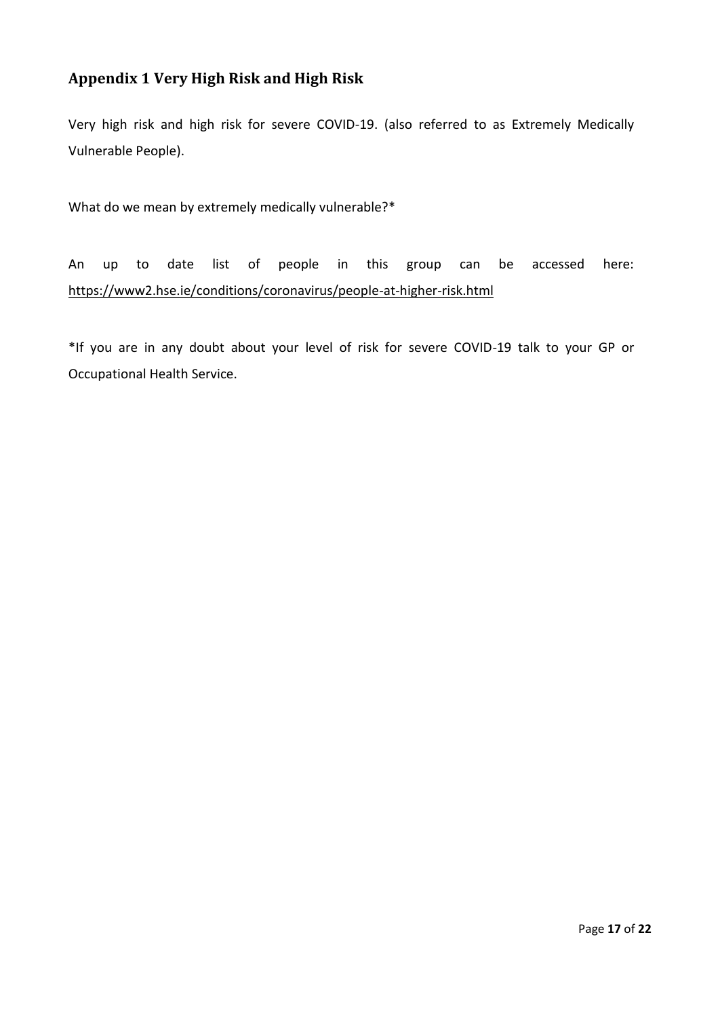## <span id="page-16-0"></span>**Appendix 1 Very High Risk and High Risk**

Very high risk and high risk for severe COVID-19. (also referred to as Extremely Medically Vulnerable People).

What do we mean by extremely medically vulnerable?\*

An up to date list of people in this group can be accessed here: [https://www2.hse.ie/conditions/coronavirus/people-at-higher-risk.html](https://scanner.topsec.com/?r=None&t=0043597437134ff71979c2e4bb31e9df643b5d7d&u=https%3A%2F%2Fwww2.hse.ie%2Fconditions%2Fcoronavirus%2Fpeople-at-higher-risk.html&d=2104)

\*If you are in any doubt about your level of risk for severe COVID-19 talk to your GP or Occupational Health Service.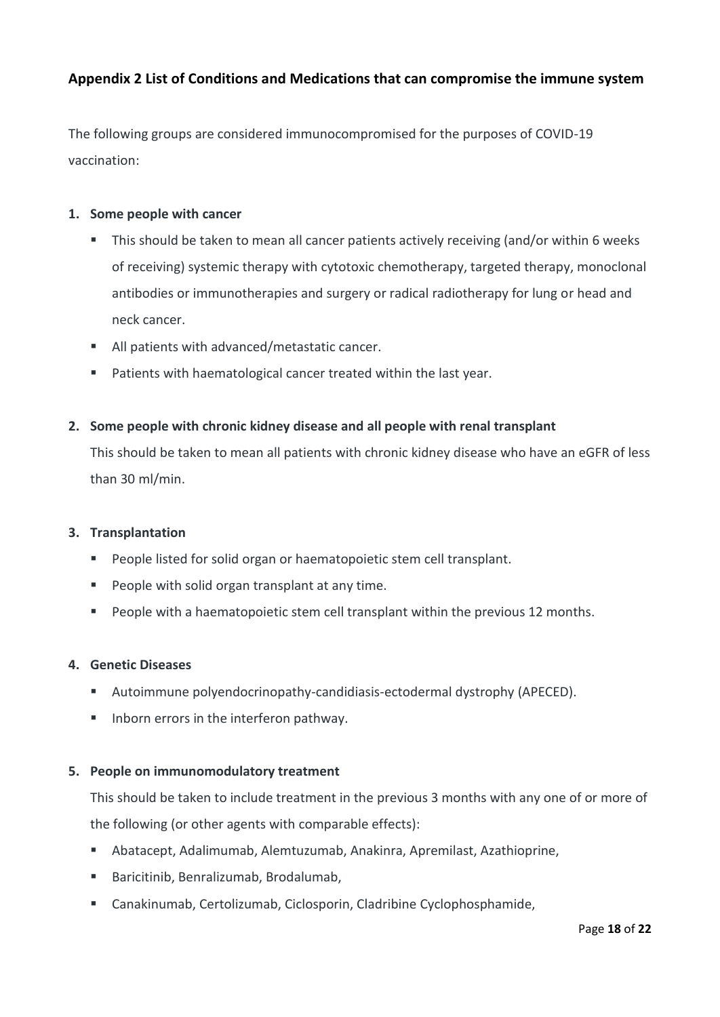### <span id="page-17-0"></span>**Appendix 2 List of Conditions and Medications that can compromise the immune system**

The following groups are considered immunocompromised for the purposes of COVID-19 vaccination:

#### **1. Some people with cancer**

- This should be taken to mean all cancer patients actively receiving (and/or within 6 weeks of receiving) systemic therapy with cytotoxic chemotherapy, targeted therapy, monoclonal antibodies or immunotherapies and surgery or radical radiotherapy for lung or head and neck cancer.
- All patients with advanced/metastatic cancer.
- Patients with haematological cancer treated within the last year.

#### **2. Some people with chronic kidney disease and all people with renal transplant**

This should be taken to mean all patients with chronic kidney disease who have an eGFR of less than 30 ml/min.

#### **3. Transplantation**

- People listed for solid organ or haematopoietic stem cell transplant.
- People with solid organ transplant at any time.
- People with a haematopoietic stem cell transplant within the previous 12 months.

#### **4. Genetic Diseases**

- Autoimmune polyendocrinopathy-candidiasis-ectodermal dystrophy (APECED).
- Inborn errors in the interferon pathway.

#### **5. People on immunomodulatory treatment**

This should be taken to include treatment in the previous 3 months with any one of or more of the following (or other agents with comparable effects):

- Abatacept, Adalimumab, Alemtuzumab, Anakinra, Apremilast, Azathioprine,
- Baricitinib, Benralizumab, Brodalumab,
- Canakinumab, Certolizumab, Ciclosporin, Cladribine Cyclophosphamide,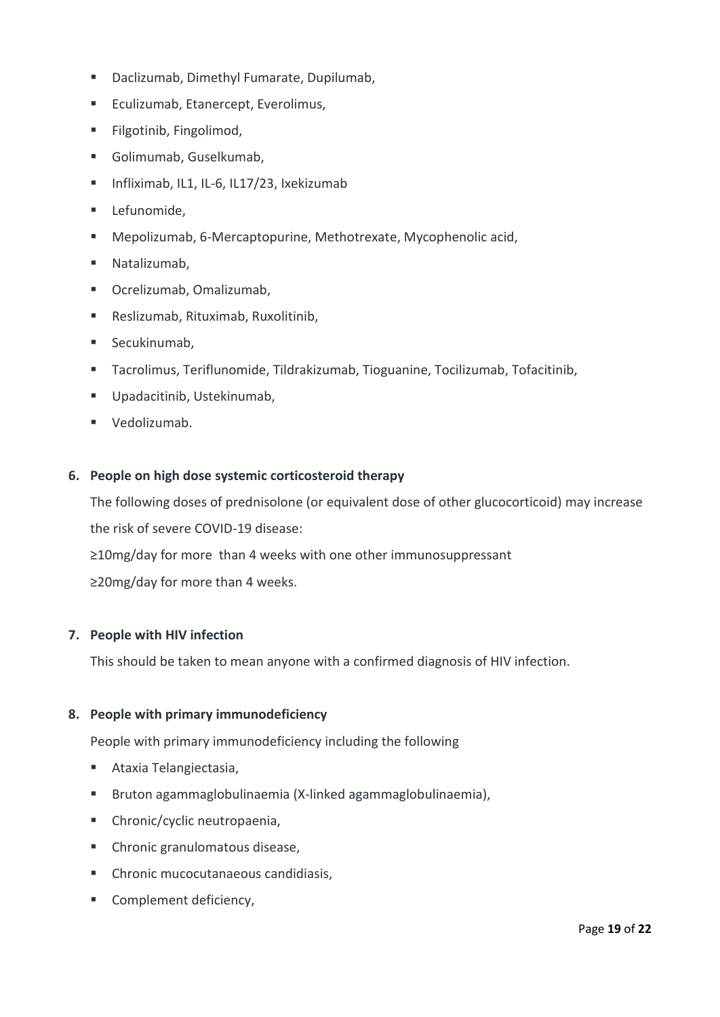- Daclizumab, Dimethyl Fumarate, Dupilumab,
- Eculizumab, Etanercept, Everolimus,
- Filgotinib, Fingolimod,
- Golimumab, Guselkumab,
- Infliximab, IL1, IL-6, IL17/23, Ixekizumab
- Lefunomide,
- Mepolizumab, 6-Mercaptopurine, Methotrexate, Mycophenolic acid,
- Natalizumab,
- Ocrelizumab, Omalizumab,
- Reslizumab, Rituximab, Ruxolitinib,
- Secukinumab,
- Tacrolimus, Teriflunomide, Tildrakizumab, Tioguanine, Tocilizumab, Tofacitinib,
- Upadacitinib, Ustekinumab,
- Vedolizumab.

#### **6. People on high dose systemic corticosteroid therapy**

The following doses of prednisolone (or equivalent dose of other glucocorticoid) may increase the risk of severe COVID-19 disease:

≥10mg/day for more than 4 weeks with one other immunosuppressant

≥20mg/day for more than 4 weeks.

#### **7. People with HIV infection**

This should be taken to mean anyone with a confirmed diagnosis of HIV infection.

#### **8. People with primary immunodeficiency**

People with primary immunodeficiency including the following

- Ataxia Telangiectasia,
- Bruton agammaglobulinaemia (X-linked agammaglobulinaemia),
- Chronic/cyclic neutropaenia,
- Chronic granulomatous disease,
- Chronic mucocutanaeous candidiasis,
- Complement deficiency,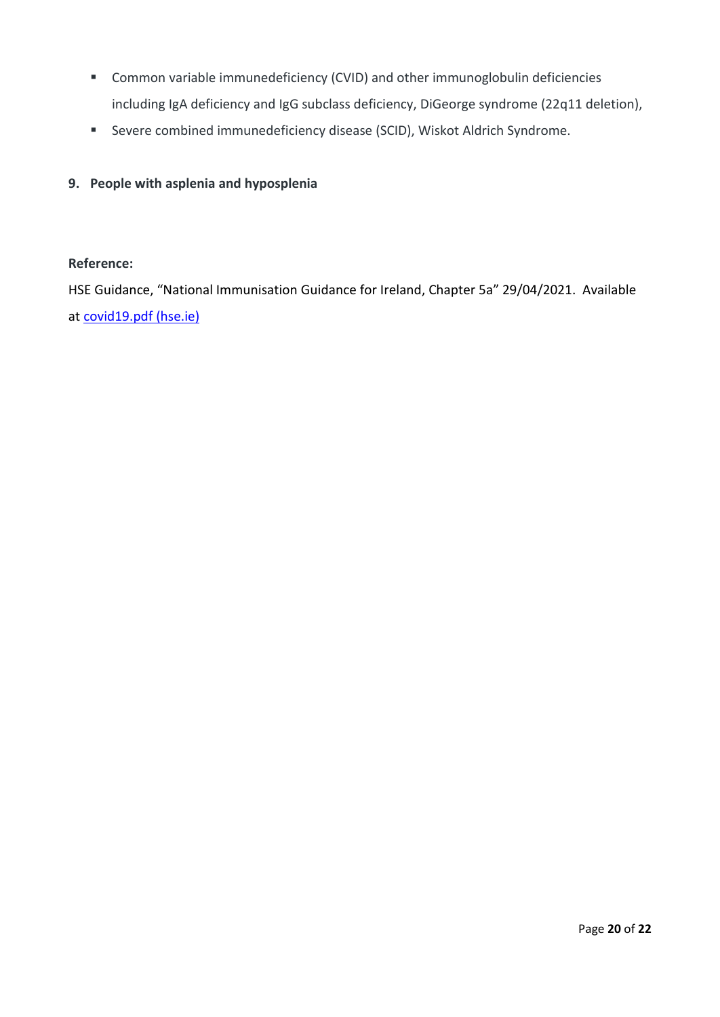- Common variable immunedeficiency (CVID) and other immunoglobulin deficiencies including IgA deficiency and IgG subclass deficiency, DiGeorge syndrome (22q11 deletion),
- Severe combined immunedeficiency disease (SCID), Wiskot Aldrich Syndrome.

#### **9. People with asplenia and hyposplenia**

#### **Reference:**

HSE Guidance, "National Immunisation Guidance for Ireland, Chapter 5a" 29/04/2021. Available at [covid19.pdf \(hse.ie\)](https://www.hse.ie/eng/health/immunisation/hcpinfo/guidelines/covid19.pdf)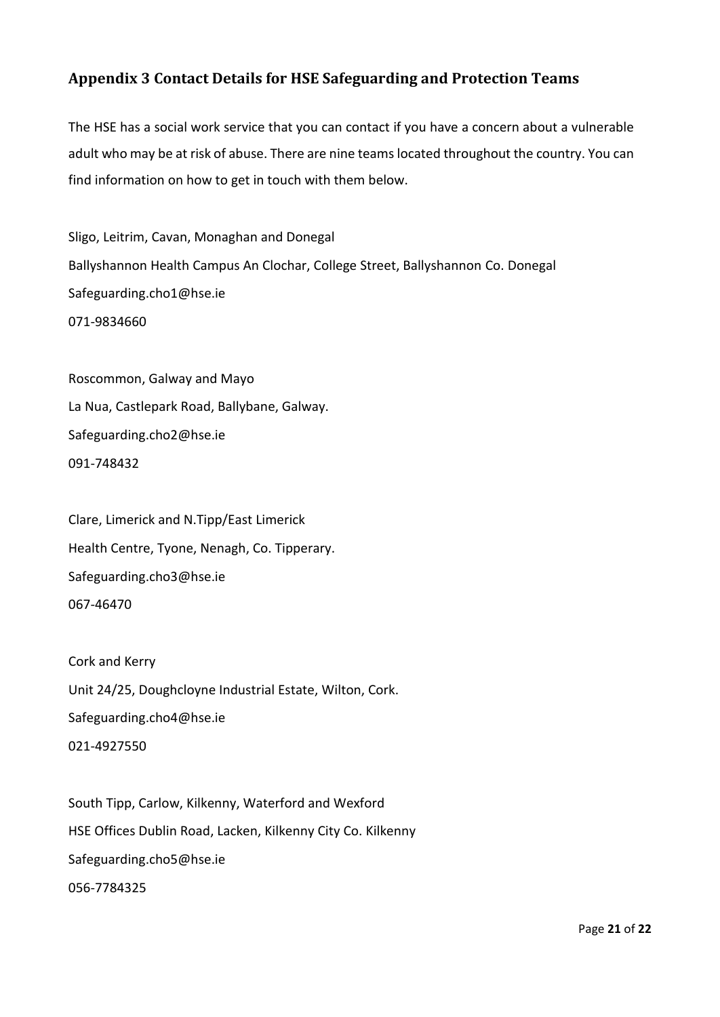## <span id="page-20-0"></span>**Appendix 3 Contact Details for HSE Safeguarding and Protection Teams**

The HSE has a social work service that you can contact if you have a concern about a vulnerable adult who may be at risk of abuse. There are nine teams located throughout the country. You can find information on how to get in touch with them below.

Sligo, Leitrim, Cavan, Monaghan and Donegal Ballyshannon Health Campus An Clochar, College Street, Ballyshannon Co. Donegal [Safeguarding.cho1@hse.ie](mailto:Safeguarding.cho1@hse.ie) [071-9834660](tel:+353719834660)

Roscommon, Galway and Mayo La Nua, Castlepark Road, Ballybane, Galway. [Safeguarding.cho2@hse.ie](mailto:Safeguarding.cho2@hse.ie) [091-748432](tel:+35391748488)

Clare, Limerick and N.Tipp/East Limerick Health Centre, Tyone, Nenagh, Co. Tipperary. [Safeguarding.cho3@hse.ie](mailto:Safeguarding.cho3@hse.ie) [067-46470](tel:+3536746470)

Cork and Kerry Unit 24/25, Doughcloyne Industrial Estate, Wilton, Cork. [Safeguarding.cho4@hse.ie](mailto:Safeguarding.cho4@hse.ie) [021-4927550](tel:+353214923967)

South Tipp, Carlow, Kilkenny, Waterford and Wexford HSE Offices Dublin Road, Lacken, Kilkenny City Co. Kilkenny [Safeguarding.cho5@hse.ie](mailto:Safeguarding.cho5@hse.ie) [056-7784325](tel:+353567784325)